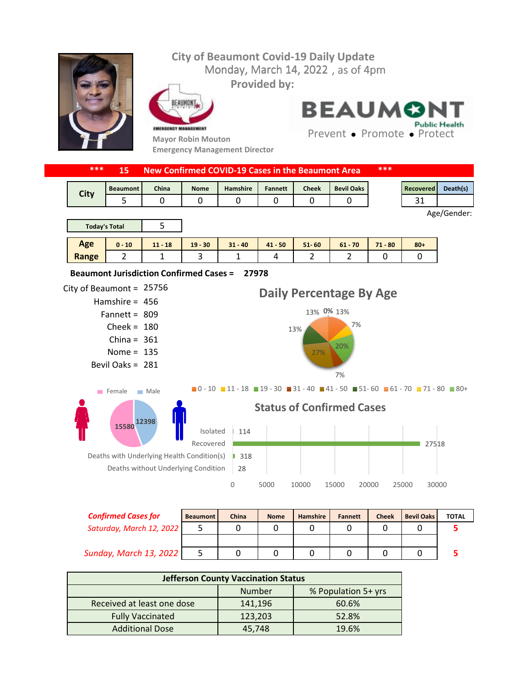## **City of Beaumont Covid-19 Daily Update** Monday, March 14, 2022, as of 4pm **Provided by:** EAUMONT **BEAUMON Public Health** EMERGENCY MANAGEMENT Prevent • Promote • Protect **Mayor Robin Mouton Emergency Management Director \*\*\* 15 New Confirmed COVID-19 Cases in the Beaumont Area \*\*\*** Beaumont | China | Nome | Hamshire | Fannett | Cheek | Bevil Oaks | Necovered | Death(s) **City** 5 0 0 0 0 0 0 0 0 1 31 Age/Gender: 5 **Today's Total Age 0 - 10 11 - 18 19 - 30 31 - 40 41 - 50 51- 60 61 - 70 71 - 80 80+ Range** 2 | 1 | 3 | 1 | 4 | 2 | 2 | 0 | 0 **27978 Beaumont Jurisdiction Confirmed Cases =**  City of Beaumont =  $25756$ **Daily Percentage By Age** Hamshire = 456 13% 13% 0% Fannett = 809 7%  $Check = 180$ 13% China =  $361$ 20% Nome =  $135$ 27% Bevil Oaks = 281 7%  $\blacksquare$ 0 - 10  $\blacksquare$  11 - 18  $\blacksquare$  19 - 30  $\blacksquare$  31 - 40  $\blacksquare$  41 - 50  $\blacksquare$  51 - 60  $\blacksquare$  61 - 70  $\blacksquare$  71 - 80  $\blacksquare$  80 + Female Male **Status of Confirmed Cases 12398 15580** 114 Isolated Recovered 27518 Deaths with Underlying Health Condition(s) | 318 Deaths without Underlying Condition 28 0 5000 10000 15000 20000 25000 30000

| <b>Confirmed Cases for</b>    | <b>Beaumont</b> | China | <b>Nome</b> | <b>Hamshire</b> | <b>Fannett</b> | <b>Cheek</b> | <b>Bevil Oaks</b> | <b>TOTAL</b> |
|-------------------------------|-----------------|-------|-------------|-----------------|----------------|--------------|-------------------|--------------|
| Saturday, March 12, 2022      |                 |       |             |                 |                |              |                   |              |
|                               |                 |       |             |                 |                |              |                   |              |
| <b>Sunday, March 13, 2022</b> |                 |       |             |                 |                |              |                   |              |

| <b>Jefferson County Vaccination Status</b> |         |                     |  |  |  |  |
|--------------------------------------------|---------|---------------------|--|--|--|--|
|                                            | Number  | % Population 5+ yrs |  |  |  |  |
| Received at least one dose                 | 141,196 | 60.6%               |  |  |  |  |
| <b>Fully Vaccinated</b>                    | 123,203 | 52.8%               |  |  |  |  |
| <b>Additional Dose</b>                     | 45.748  | 19.6%               |  |  |  |  |